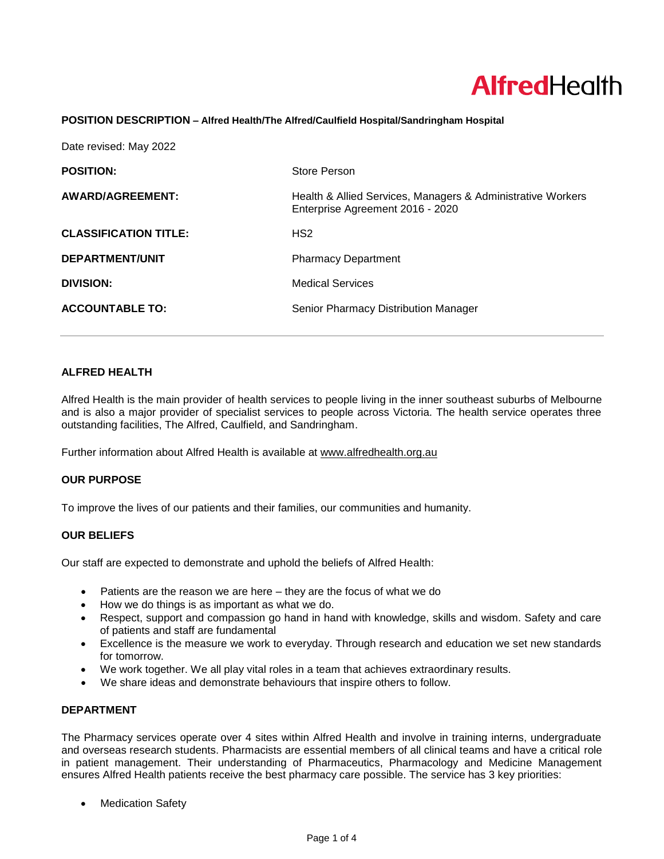# **AlfredHealth**

#### **POSITION DESCRIPTION – Alfred Health/The Alfred/Caulfield Hospital/Sandringham Hospital**

| Date revised: May 2022       |                                                                                                 |
|------------------------------|-------------------------------------------------------------------------------------------------|
| <b>POSITION:</b>             | Store Person                                                                                    |
| AWARD/AGREEMENT:             | Health & Allied Services, Managers & Administrative Workers<br>Enterprise Agreement 2016 - 2020 |
| <b>CLASSIFICATION TITLE:</b> | HS <sub>2</sub>                                                                                 |
| <b>DEPARTMENT/UNIT</b>       | <b>Pharmacy Department</b>                                                                      |
| <b>DIVISION:</b>             | <b>Medical Services</b>                                                                         |
| <b>ACCOUNTABLE TO:</b>       | Senior Pharmacy Distribution Manager                                                            |

# **ALFRED HEALTH**

Alfred Health is the main provider of health services to people living in the inner southeast suburbs of Melbourne and is also a major provider of specialist services to people across Victoria. The health service operates three outstanding facilities, The Alfred, Caulfield, and Sandringham.

Further information about Alfred Health is available at [www.alfredhealth.org.au](http://www.alfred.org.au/)

## **OUR PURPOSE**

To improve the lives of our patients and their families, our communities and humanity.

## **OUR BELIEFS**

Our staff are expected to demonstrate and uphold the beliefs of Alfred Health:

- Patients are the reason we are here they are the focus of what we do
- How we do things is as important as what we do.
- Respect, support and compassion go hand in hand with knowledge, skills and wisdom. Safety and care of patients and staff are fundamental
- Excellence is the measure we work to everyday. Through research and education we set new standards for tomorrow.
- We work together. We all play vital roles in a team that achieves extraordinary results.
- We share ideas and demonstrate behaviours that inspire others to follow.

# **DEPARTMENT**

The Pharmacy services operate over 4 sites within Alfred Health and involve in training interns, undergraduate and overseas research students. Pharmacists are essential members of all clinical teams and have a critical role in patient management. Their understanding of Pharmaceutics, Pharmacology and Medicine Management ensures Alfred Health patients receive the best pharmacy care possible. The service has 3 key priorities:

**Medication Safety**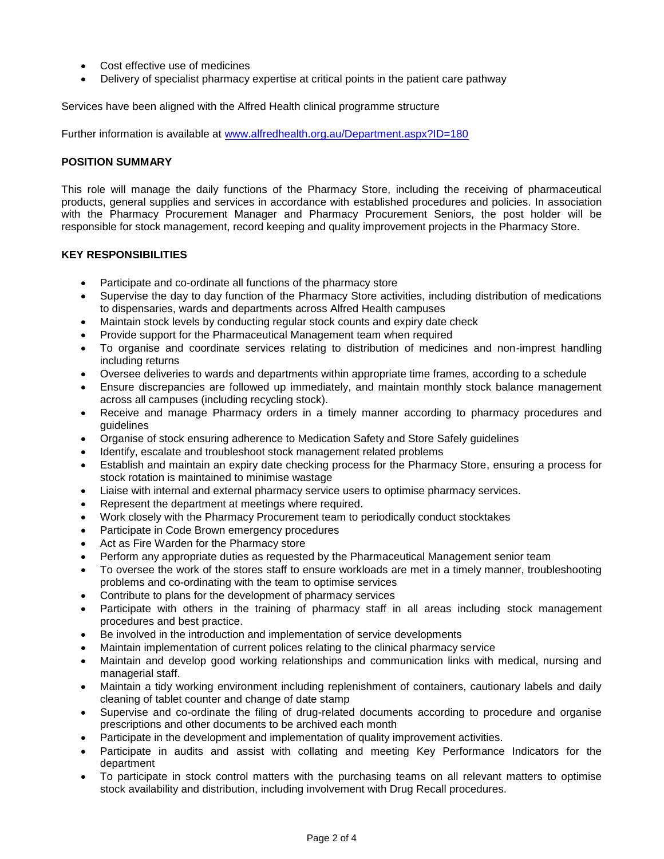- Cost effective use of medicines
- Delivery of specialist pharmacy expertise at critical points in the patient care pathway

Services have been aligned with the Alfred Health clinical programme structure

Further information is available at [www.alfredhealth.org.au/Department.aspx?ID=180](http://www.alfredhealth.org.au/Department.aspx?ID=180)

## **POSITION SUMMARY**

This role will manage the daily functions of the Pharmacy Store, including the receiving of pharmaceutical products, general supplies and services in accordance with established procedures and policies. In association with the Pharmacy Procurement Manager and Pharmacy Procurement Seniors, the post holder will be responsible for stock management, record keeping and quality improvement projects in the Pharmacy Store.

## **KEY RESPONSIBILITIES**

- Participate and co-ordinate all functions of the pharmacy store
- Supervise the day to day function of the Pharmacy Store activities, including distribution of medications to dispensaries, wards and departments across Alfred Health campuses
- Maintain stock levels by conducting regular stock counts and expiry date check
- Provide support for the Pharmaceutical Management team when required
- To organise and coordinate services relating to distribution of medicines and non-imprest handling including returns
- Oversee deliveries to wards and departments within appropriate time frames, according to a schedule
- Ensure discrepancies are followed up immediately, and maintain monthly stock balance management across all campuses (including recycling stock).
- Receive and manage Pharmacy orders in a timely manner according to pharmacy procedures and guidelines
- Organise of stock ensuring adherence to Medication Safety and Store Safely guidelines
- Identify, escalate and troubleshoot stock management related problems
- Establish and maintain an expiry date checking process for the Pharmacy Store, ensuring a process for stock rotation is maintained to minimise wastage
- Liaise with internal and external pharmacy service users to optimise pharmacy services.
- Represent the department at meetings where required.
- Work closely with the Pharmacy Procurement team to periodically conduct stocktakes
- Participate in Code Brown emergency procedures
- Act as Fire Warden for the Pharmacy store
- Perform any appropriate duties as requested by the Pharmaceutical Management senior team
- To oversee the work of the stores staff to ensure workloads are met in a timely manner, troubleshooting problems and co-ordinating with the team to optimise services
- Contribute to plans for the development of pharmacy services
- Participate with others in the training of pharmacy staff in all areas including stock management procedures and best practice.
- Be involved in the introduction and implementation of service developments
- Maintain implementation of current polices relating to the clinical pharmacy service
- Maintain and develop good working relationships and communication links with medical, nursing and managerial staff.
- Maintain a tidy working environment including replenishment of containers, cautionary labels and daily cleaning of tablet counter and change of date stamp
- Supervise and co-ordinate the filing of drug-related documents according to procedure and organise prescriptions and other documents to be archived each month
- Participate in the development and implementation of quality improvement activities.
- Participate in audits and assist with collating and meeting Key Performance Indicators for the department
- To participate in stock control matters with the purchasing teams on all relevant matters to optimise stock availability and distribution, including involvement with Drug Recall procedures.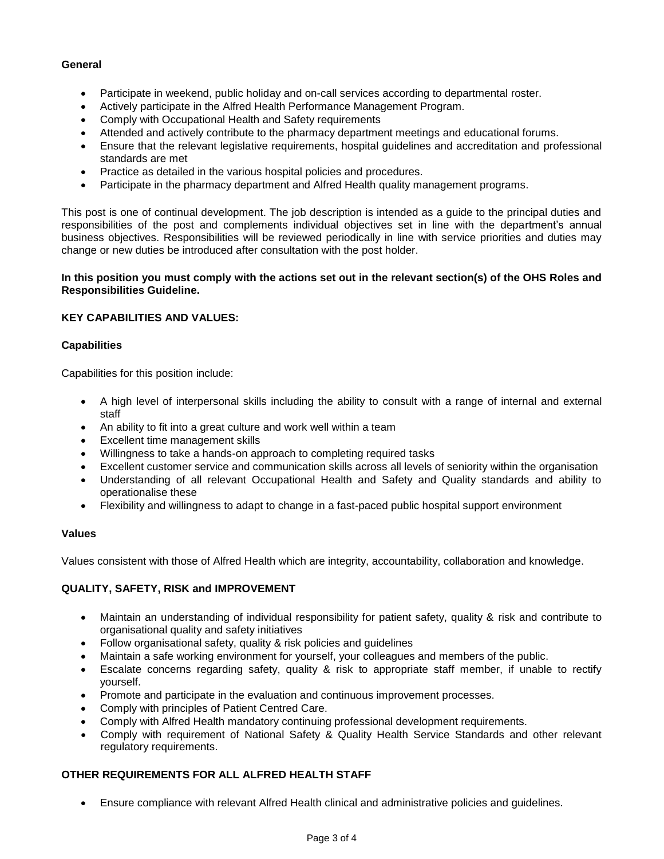## **General**

- Participate in weekend, public holiday and on-call services according to departmental roster.
- Actively participate in the Alfred Health Performance Management Program.
- Comply with Occupational Health and Safety requirements
- Attended and actively contribute to the pharmacy department meetings and educational forums.
- Ensure that the relevant legislative requirements, hospital guidelines and accreditation and professional standards are met
- Practice as detailed in the various hospital policies and procedures.
- Participate in the pharmacy department and Alfred Health quality management programs.

This post is one of continual development. The job description is intended as a guide to the principal duties and responsibilities of the post and complements individual objectives set in line with the department's annual business objectives. Responsibilities will be reviewed periodically in line with service priorities and duties may change or new duties be introduced after consultation with the post holder.

## **In this position you must comply with the actions set out in the relevant section(s) of the OHS Roles and Responsibilities Guideline.**

## **KEY CAPABILITIES AND VALUES:**

## **Capabilities**

Capabilities for this position include:

- A high level of interpersonal skills including the ability to consult with a range of internal and external staff
- An ability to fit into a great culture and work well within a team
- Excellent time management skills
- Willingness to take a hands-on approach to completing required tasks
- Excellent customer service and communication skills across all levels of seniority within the organisation
- Understanding of all relevant Occupational Health and Safety and Quality standards and ability to operationalise these
- Flexibility and willingness to adapt to change in a fast-paced public hospital support environment

## **Values**

Values consistent with those of Alfred Health which are integrity, accountability, collaboration and knowledge.

# **QUALITY, SAFETY, RISK and IMPROVEMENT**

- Maintain an understanding of individual responsibility for patient safety, quality & risk and contribute to organisational quality and safety initiatives
- Follow organisational safety, quality & risk policies and guidelines
- Maintain a safe working environment for yourself, your colleagues and members of the public.
- Escalate concerns regarding safety, quality & risk to appropriate staff member, if unable to rectify yourself.
- Promote and participate in the evaluation and continuous improvement processes.
- Comply with principles of Patient Centred Care.
- Comply with Alfred Health mandatory continuing professional development requirements.
- Comply with requirement of National Safety & Quality Health Service Standards and other relevant regulatory requirements.

# **OTHER REQUIREMENTS FOR ALL ALFRED HEALTH STAFF**

• Ensure compliance with relevant Alfred Health clinical and administrative policies and guidelines.